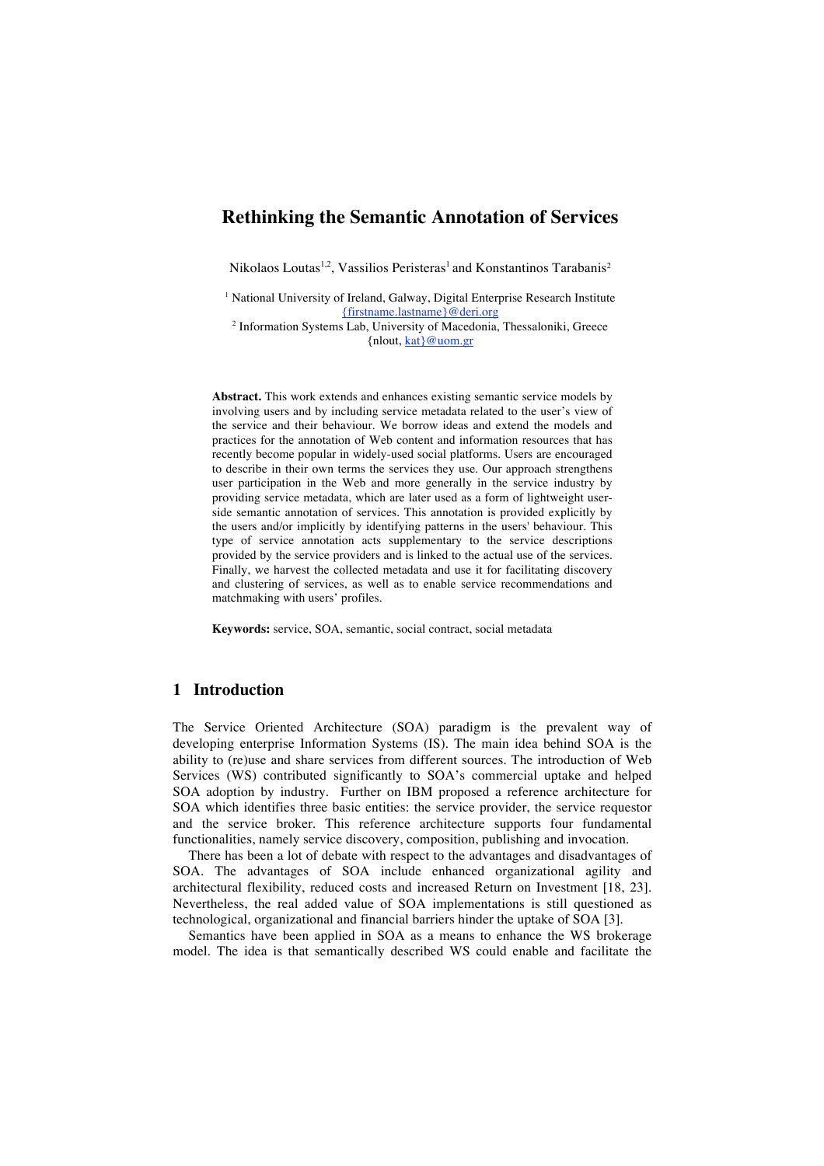# **Rethinking the Semantic Annotation of Services**

Nikolaos Loutas<sup>1,2</sup>, Vassilios Peristeras<sup>1</sup> and Konstantinos Tarabanis<sup>2</sup>

<sup>1</sup> National University of Ireland, Galway, Digital Enterprise Research Institute {firstname.lastname}@deri.org

<sup>2</sup> Information Systems Lab, University of Macedonia, Thessaloniki, Greece {nlout, kat}@uom.gr

**Abstract.** This work extends and enhances existing semantic service models by involving users and by including service metadata related to the user's view of the service and their behaviour. We borrow ideas and extend the models and practices for the annotation of Web content and information resources that has recently become popular in widely-used social platforms. Users are encouraged to describe in their own terms the services they use. Our approach strengthens user participation in the Web and more generally in the service industry by providing service metadata, which are later used as a form of lightweight userside semantic annotation of services. This annotation is provided explicitly by the users and/or implicitly by identifying patterns in the users' behaviour. This type of service annotation acts supplementary to the service descriptions provided by the service providers and is linked to the actual use of the services. Finally, we harvest the collected metadata and use it for facilitating discovery and clustering of services, as well as to enable service recommendations and matchmaking with users' profiles.

**Keywords:** service, SOA, semantic, social contract, social metadata

### **1 Introduction**

The Service Oriented Architecture (SOA) paradigm is the prevalent way of developing enterprise Information Systems (IS). The main idea behind SOA is the ability to (re)use and share services from different sources. The introduction of Web Services (WS) contributed significantly to SOA's commercial uptake and helped SOA adoption by industry. Further on IBM proposed a reference architecture for SOA which identifies three basic entities: the service provider, the service requestor and the service broker. This reference architecture supports four fundamental functionalities, namely service discovery, composition, publishing and invocation.

There has been a lot of debate with respect to the advantages and disadvantages of SOA. The advantages of SOA include enhanced organizational agility and architectural flexibility, reduced costs and increased Return on Investment [18, 23]. Nevertheless, the real added value of SOA implementations is still questioned as technological, organizational and financial barriers hinder the uptake of SOA [3].

Semantics have been applied in SOA as a means to enhance the WS brokerage model. The idea is that semantically described WS could enable and facilitate the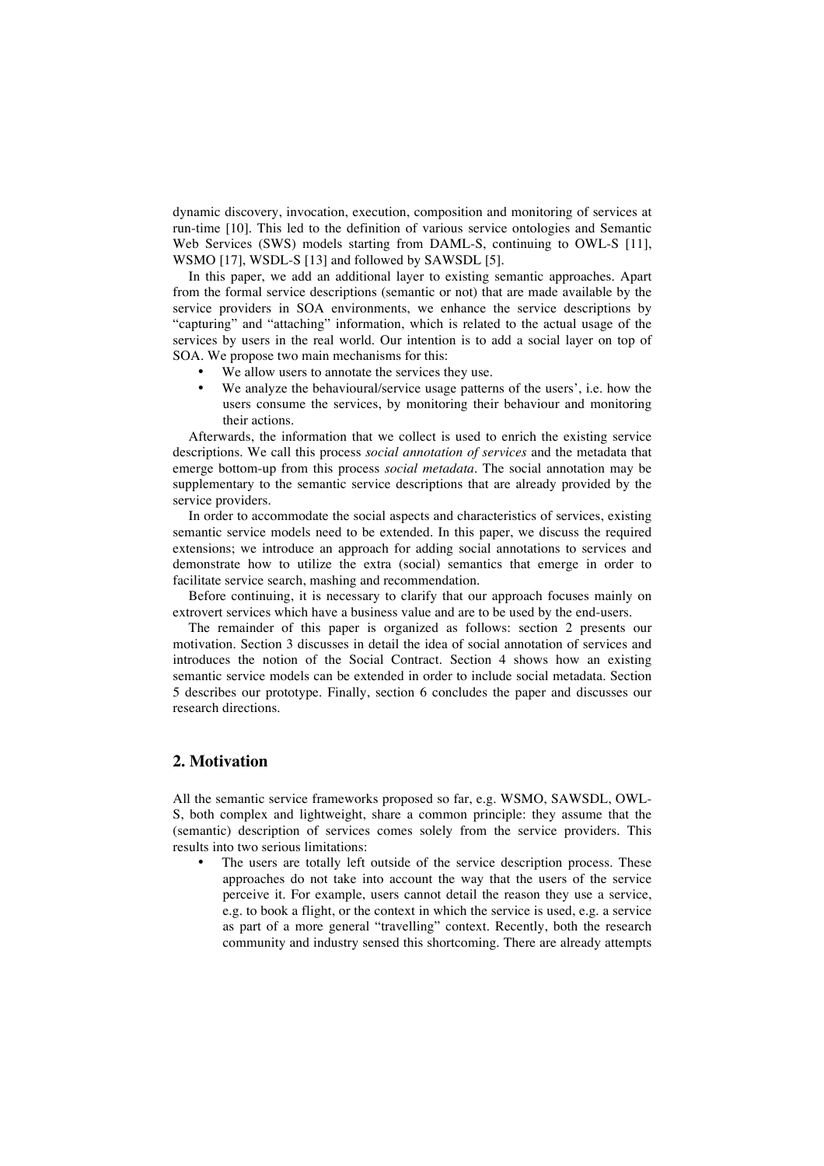dynamic discovery, invocation, execution, composition and monitoring of services at run-time [10]. This led to the definition of various service ontologies and Semantic Web Services (SWS) models starting from DAML-S, continuing to OWL-S [11], WSMO [17], WSDL-S [13] and followed by SAWSDL [5].

In this paper, we add an additional layer to existing semantic approaches. Apart from the formal service descriptions (semantic or not) that are made available by the service providers in SOA environments, we enhance the service descriptions by "capturing" and "attaching" information, which is related to the actual usage of the services by users in the real world. Our intention is to add a social layer on top of SOA. We propose two main mechanisms for this:

- We allow users to annotate the services they use.
- We analyze the behavioural/service usage patterns of the users', i.e. how the users consume the services, by monitoring their behaviour and monitoring their actions.

Afterwards, the information that we collect is used to enrich the existing service descriptions. We call this process *social annotation of services* and the metadata that emerge bottom-up from this process *social metadata*. The social annotation may be supplementary to the semantic service descriptions that are already provided by the service providers.

In order to accommodate the social aspects and characteristics of services, existing semantic service models need to be extended. In this paper, we discuss the required extensions; we introduce an approach for adding social annotations to services and demonstrate how to utilize the extra (social) semantics that emerge in order to facilitate service search, mashing and recommendation.

Before continuing, it is necessary to clarify that our approach focuses mainly on extrovert services which have a business value and are to be used by the end-users.

The remainder of this paper is organized as follows: section 2 presents our motivation. Section 3 discusses in detail the idea of social annotation of services and introduces the notion of the Social Contract. Section 4 shows how an existing semantic service models can be extended in order to include social metadata. Section 5 describes our prototype. Finally, section 6 concludes the paper and discusses our research directions.

#### **2. Motivation**

All the semantic service frameworks proposed so far, e.g. WSMO, SAWSDL, OWL-S, both complex and lightweight, share a common principle: they assume that the (semantic) description of services comes solely from the service providers. This results into two serious limitations:

The users are totally left outside of the service description process. These approaches do not take into account the way that the users of the service perceive it. For example, users cannot detail the reason they use a service, e.g. to book a flight, or the context in which the service is used, e.g. a service as part of a more general "travelling" context. Recently, both the research community and industry sensed this shortcoming. There are already attempts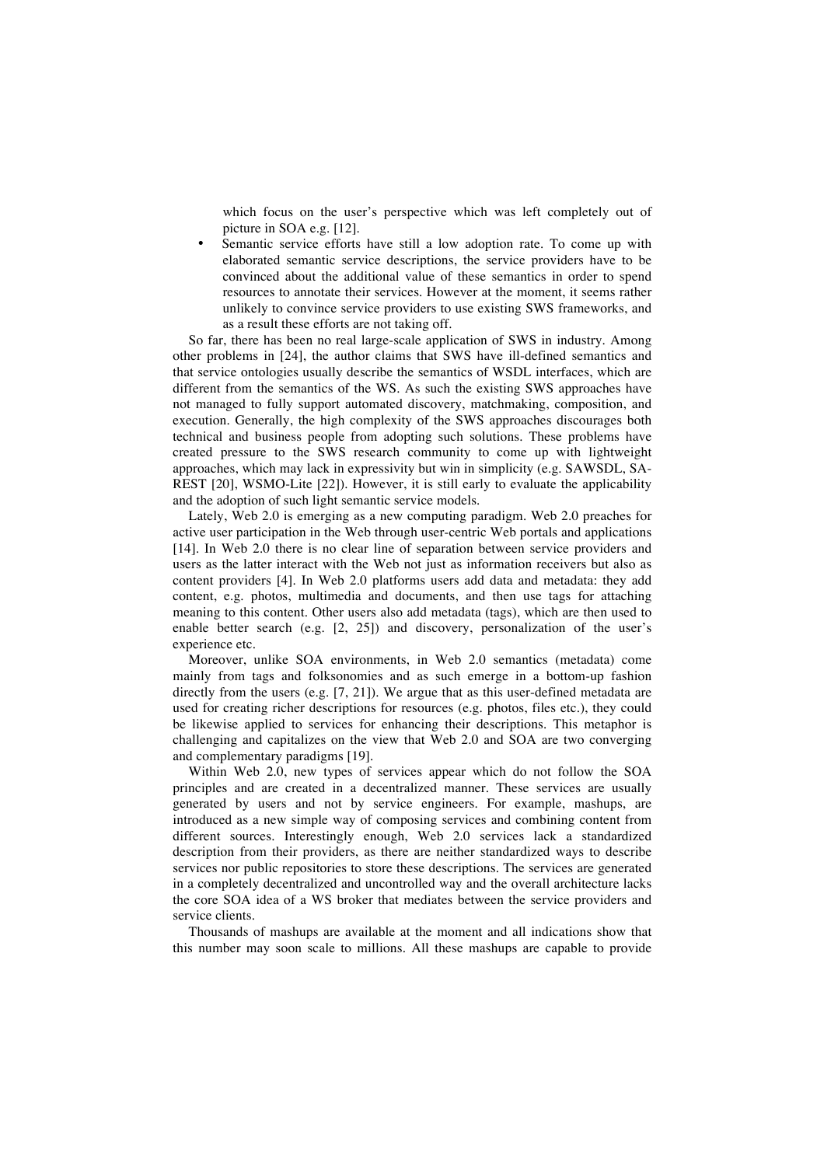which focus on the user's perspective which was left completely out of picture in SOA e.g. [12].

Semantic service efforts have still a low adoption rate. To come up with elaborated semantic service descriptions, the service providers have to be convinced about the additional value of these semantics in order to spend resources to annotate their services. However at the moment, it seems rather unlikely to convince service providers to use existing SWS frameworks, and as a result these efforts are not taking off.

So far, there has been no real large-scale application of SWS in industry. Among other problems in [24], the author claims that SWS have ill-defined semantics and that service ontologies usually describe the semantics of WSDL interfaces, which are different from the semantics of the WS. As such the existing SWS approaches have not managed to fully support automated discovery, matchmaking, composition, and execution. Generally, the high complexity of the SWS approaches discourages both technical and business people from adopting such solutions. These problems have created pressure to the SWS research community to come up with lightweight approaches, which may lack in expressivity but win in simplicity (e.g. SAWSDL, SA-REST [20], WSMO-Lite [22]). However, it is still early to evaluate the applicability and the adoption of such light semantic service models.

Lately, Web 2.0 is emerging as a new computing paradigm. Web 2.0 preaches for active user participation in the Web through user-centric Web portals and applications [14]. In Web 2.0 there is no clear line of separation between service providers and users as the latter interact with the Web not just as information receivers but also as content providers [4]. In Web 2.0 platforms users add data and metadata: they add content, e.g. photos, multimedia and documents, and then use tags for attaching meaning to this content. Other users also add metadata (tags), which are then used to enable better search (e.g. [2, 25]) and discovery, personalization of the user's experience etc.

Moreover, unlike SOA environments, in Web 2.0 semantics (metadata) come mainly from tags and folksonomies and as such emerge in a bottom-up fashion directly from the users (e.g. [7, 21]). We argue that as this user-defined metadata are used for creating richer descriptions for resources (e.g. photos, files etc.), they could be likewise applied to services for enhancing their descriptions. This metaphor is challenging and capitalizes on the view that Web 2.0 and SOA are two converging and complementary paradigms [19].

Within Web 2.0, new types of services appear which do not follow the SOA principles and are created in a decentralized manner. These services are usually generated by users and not by service engineers. For example, mashups, are introduced as a new simple way of composing services and combining content from different sources. Interestingly enough, Web 2.0 services lack a standardized description from their providers, as there are neither standardized ways to describe services nor public repositories to store these descriptions. The services are generated in a completely decentralized and uncontrolled way and the overall architecture lacks the core SOA idea of a WS broker that mediates between the service providers and service clients.

Thousands of mashups are available at the moment and all indications show that this number may soon scale to millions. All these mashups are capable to provide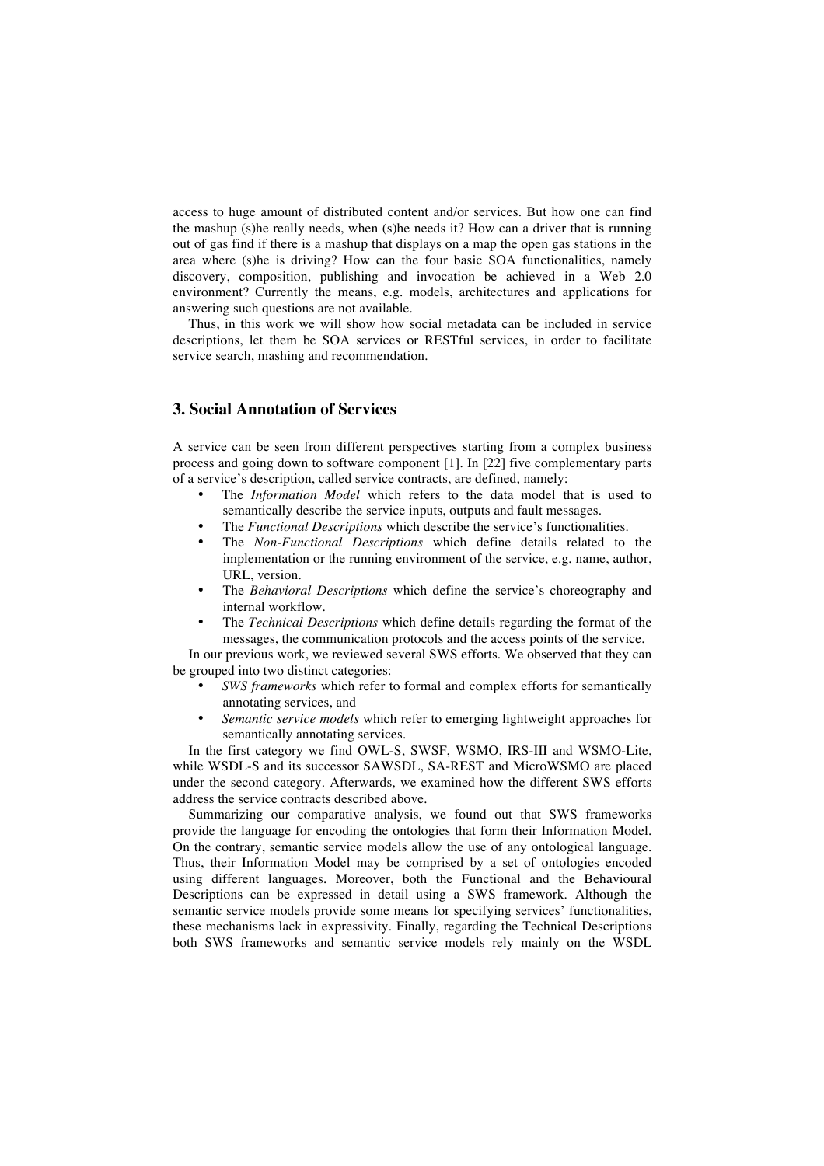access to huge amount of distributed content and/or services. But how one can find the mashup (s)he really needs, when (s)he needs it? How can a driver that is running out of gas find if there is a mashup that displays on a map the open gas stations in the area where (s)he is driving? How can the four basic SOA functionalities, namely discovery, composition, publishing and invocation be achieved in a Web 2.0 environment? Currently the means, e.g. models, architectures and applications for answering such questions are not available.

Thus, in this work we will show how social metadata can be included in service descriptions, let them be SOA services or RESTful services, in order to facilitate service search, mashing and recommendation.

# **3. Social Annotation of Services**

A service can be seen from different perspectives starting from a complex business process and going down to software component [1]. In [22] five complementary parts of a service's description, called service contracts, are defined, namely:

- The *Information Model* which refers to the data model that is used to semantically describe the service inputs, outputs and fault messages.
- The *Functional Descriptions* which describe the service's functionalities.
- The *Non-Functional Descriptions* which define details related to the implementation or the running environment of the service, e.g. name, author, URL, version.
- The *Behavioral Descriptions* which define the service's choreography and internal workflow.
- The *Technical Descriptions* which define details regarding the format of the messages, the communication protocols and the access points of the service.

In our previous work, we reviewed several SWS efforts. We observed that they can be grouped into two distinct categories:

- *SWS frameworks* which refer to formal and complex efforts for semantically annotating services, and
- *Semantic service models* which refer to emerging lightweight approaches for semantically annotating services.

In the first category we find OWL-S, SWSF, WSMO, IRS-III and WSMO-Lite, while WSDL-S and its successor SAWSDL, SA-REST and MicroWSMO are placed under the second category. Afterwards, we examined how the different SWS efforts address the service contracts described above.

Summarizing our comparative analysis, we found out that SWS frameworks provide the language for encoding the ontologies that form their Information Model. On the contrary, semantic service models allow the use of any ontological language. Thus, their Information Model may be comprised by a set of ontologies encoded using different languages. Moreover, both the Functional and the Behavioural Descriptions can be expressed in detail using a SWS framework. Although the semantic service models provide some means for specifying services' functionalities, these mechanisms lack in expressivity. Finally, regarding the Technical Descriptions both SWS frameworks and semantic service models rely mainly on the WSDL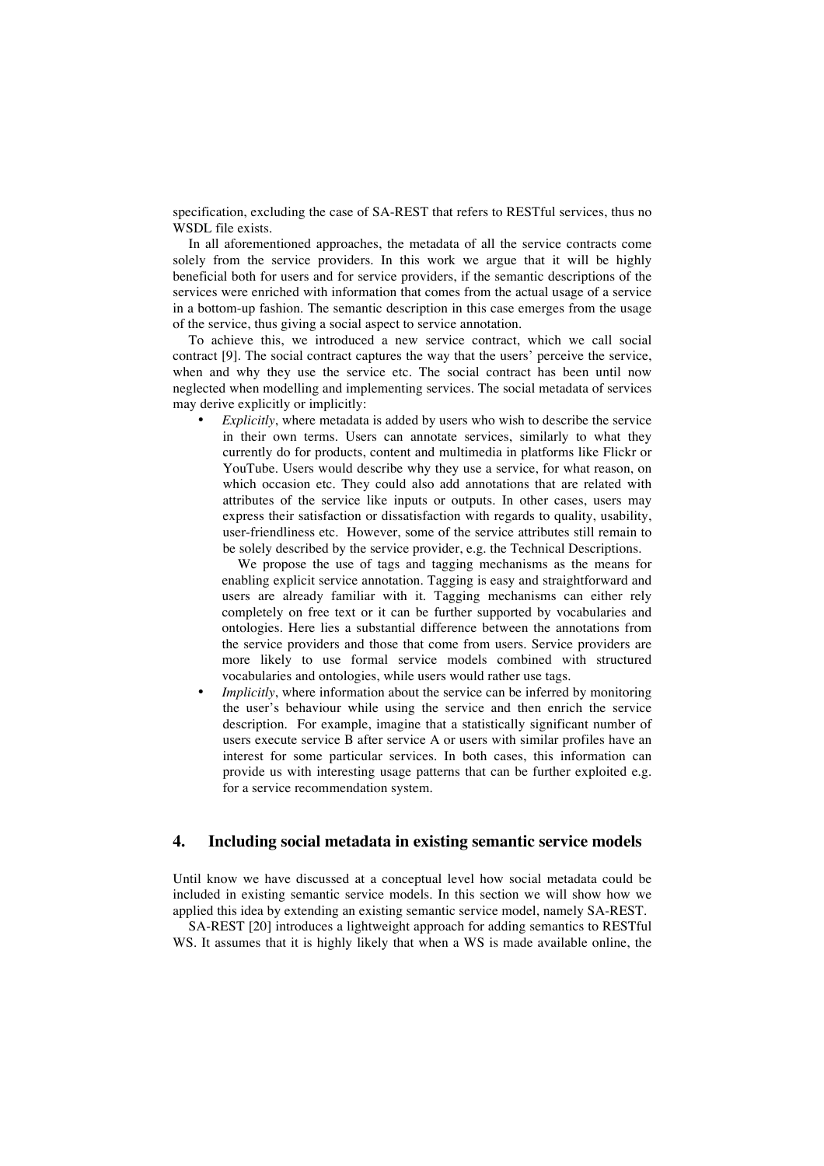specification, excluding the case of SA-REST that refers to RESTful services, thus no WSDL file exists.

In all aforementioned approaches, the metadata of all the service contracts come solely from the service providers. In this work we argue that it will be highly beneficial both for users and for service providers, if the semantic descriptions of the services were enriched with information that comes from the actual usage of a service in a bottom-up fashion. The semantic description in this case emerges from the usage of the service, thus giving a social aspect to service annotation.

To achieve this, we introduced a new service contract, which we call social contract [9]. The social contract captures the way that the users' perceive the service, when and why they use the service etc. The social contract has been until now neglected when modelling and implementing services. The social metadata of services may derive explicitly or implicitly:

*Explicitly*, where metadata is added by users who wish to describe the service in their own terms. Users can annotate services, similarly to what they currently do for products, content and multimedia in platforms like Flickr or YouTube. Users would describe why they use a service, for what reason, on which occasion etc. They could also add annotations that are related with attributes of the service like inputs or outputs. In other cases, users may express their satisfaction or dissatisfaction with regards to quality, usability, user-friendliness etc. However, some of the service attributes still remain to be solely described by the service provider, e.g. the Technical Descriptions.

We propose the use of tags and tagging mechanisms as the means for enabling explicit service annotation. Tagging is easy and straightforward and users are already familiar with it. Tagging mechanisms can either rely completely on free text or it can be further supported by vocabularies and ontologies. Here lies a substantial difference between the annotations from the service providers and those that come from users. Service providers are more likely to use formal service models combined with structured vocabularies and ontologies, while users would rather use tags.

*Implicitly*, where information about the service can be inferred by monitoring the user's behaviour while using the service and then enrich the service description. For example, imagine that a statistically significant number of users execute service B after service A or users with similar profiles have an interest for some particular services. In both cases, this information can provide us with interesting usage patterns that can be further exploited e.g. for a service recommendation system.

## **4. Including social metadata in existing semantic service models**

Until know we have discussed at a conceptual level how social metadata could be included in existing semantic service models. In this section we will show how we applied this idea by extending an existing semantic service model, namely SA-REST.

SA-REST [20] introduces a lightweight approach for adding semantics to RESTful WS. It assumes that it is highly likely that when a WS is made available online, the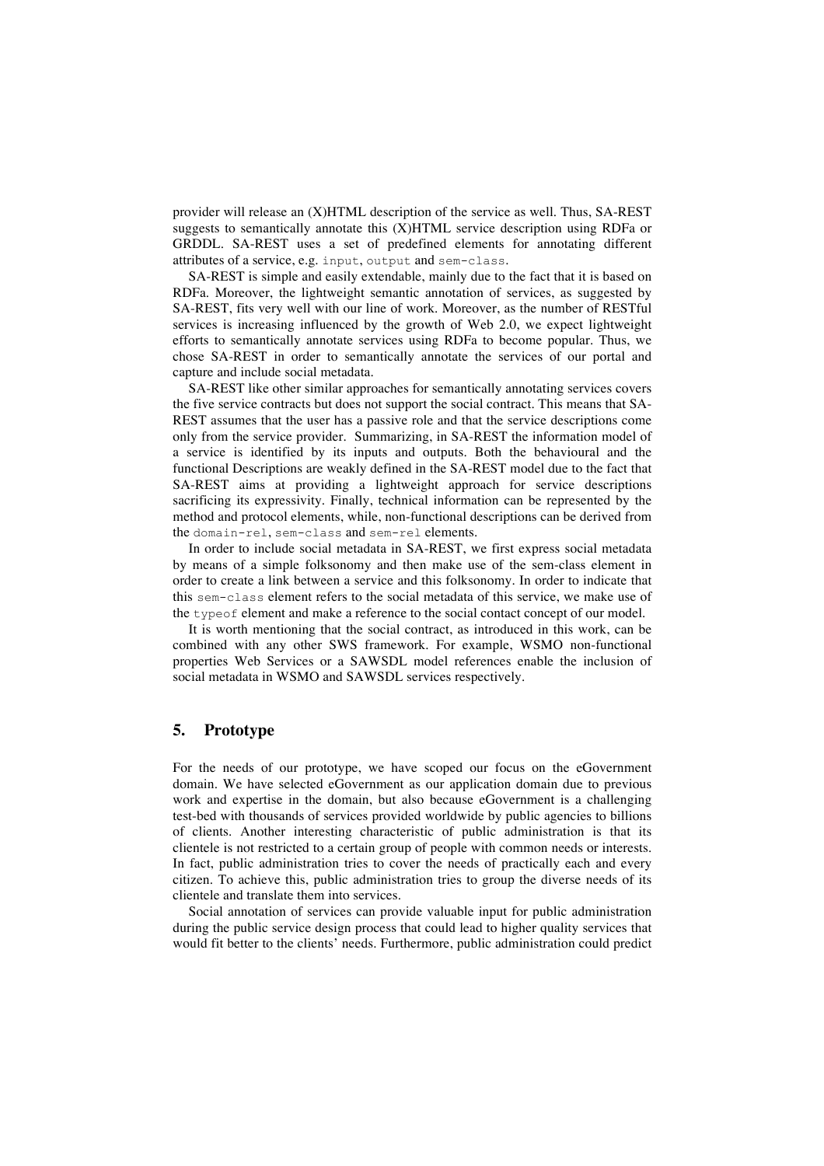provider will release an (X)HTML description of the service as well. Thus, SA-REST suggests to semantically annotate this (X)HTML service description using RDFa or GRDDL. SA-REST uses a set of predefined elements for annotating different attributes of a service, e.g. input, output and sem-class.

SA-REST is simple and easily extendable, mainly due to the fact that it is based on RDFa. Moreover, the lightweight semantic annotation of services, as suggested by SA-REST, fits very well with our line of work. Moreover, as the number of RESTful services is increasing influenced by the growth of Web 2.0, we expect lightweight efforts to semantically annotate services using RDFa to become popular. Thus, we chose SA-REST in order to semantically annotate the services of our portal and capture and include social metadata.

SA-REST like other similar approaches for semantically annotating services covers the five service contracts but does not support the social contract. This means that SA-REST assumes that the user has a passive role and that the service descriptions come only from the service provider. Summarizing, in SA-REST the information model of a service is identified by its inputs and outputs. Both the behavioural and the functional Descriptions are weakly defined in the SA-REST model due to the fact that SA-REST aims at providing a lightweight approach for service descriptions sacrificing its expressivity. Finally, technical information can be represented by the method and protocol elements, while, non-functional descriptions can be derived from the domain-rel, sem-class and sem-rel elements.

In order to include social metadata in SA-REST, we first express social metadata by means of a simple folksonomy and then make use of the sem-class element in order to create a link between a service and this folksonomy. In order to indicate that this sem-class element refers to the social metadata of this service, we make use of the typeof element and make a reference to the social contact concept of our model.

It is worth mentioning that the social contract, as introduced in this work, can be combined with any other SWS framework. For example, WSMO non-functional properties Web Services or a SAWSDL model references enable the inclusion of social metadata in WSMO and SAWSDL services respectively.

### **5. Prototype**

For the needs of our prototype, we have scoped our focus on the eGovernment domain. We have selected eGovernment as our application domain due to previous work and expertise in the domain, but also because eGovernment is a challenging test-bed with thousands of services provided worldwide by public agencies to billions of clients. Another interesting characteristic of public administration is that its clientele is not restricted to a certain group of people with common needs or interests. In fact, public administration tries to cover the needs of practically each and every citizen. To achieve this, public administration tries to group the diverse needs of its clientele and translate them into services.

Social annotation of services can provide valuable input for public administration during the public service design process that could lead to higher quality services that would fit better to the clients' needs. Furthermore, public administration could predict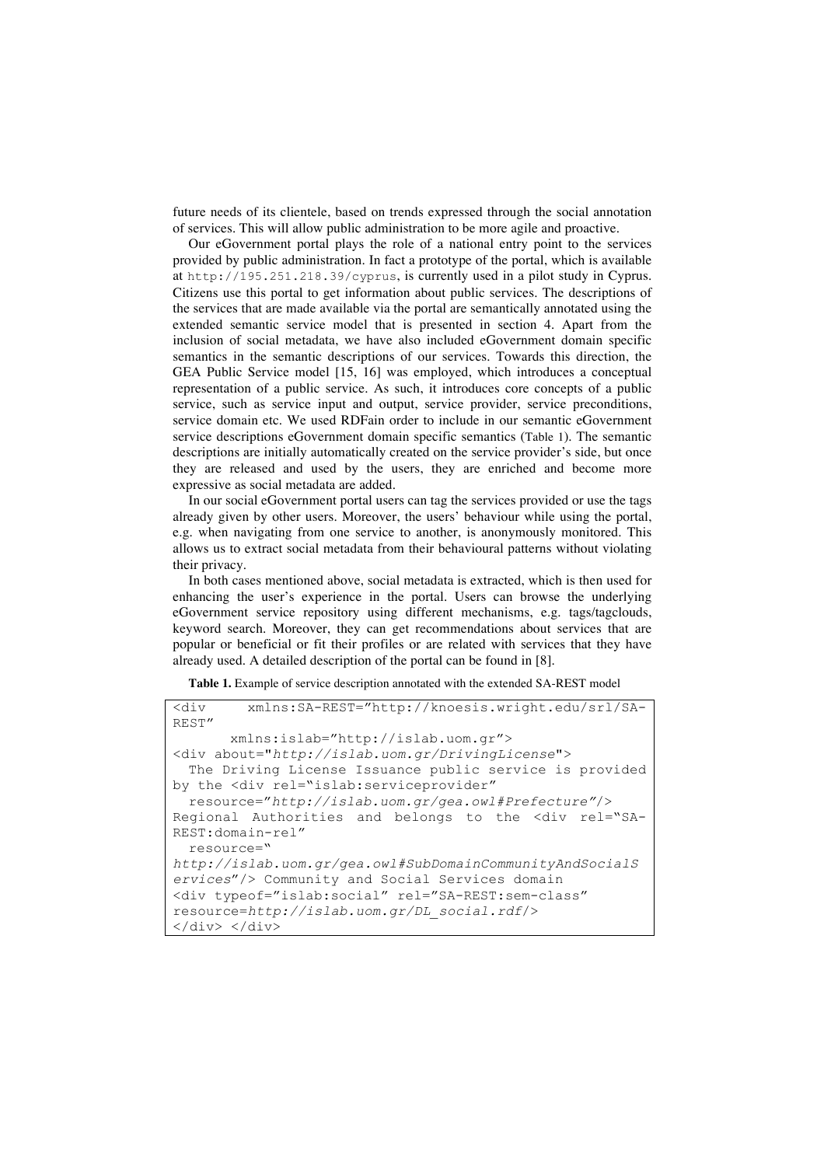future needs of its clientele, based on trends expressed through the social annotation of services. This will allow public administration to be more agile and proactive.

Our eGovernment portal plays the role of a national entry point to the services provided by public administration. In fact a prototype of the portal, which is available at http://195.251.218.39/cyprus, is currently used in a pilot study in Cyprus. Citizens use this portal to get information about public services. The descriptions of the services that are made available via the portal are semantically annotated using the extended semantic service model that is presented in section 4. Apart from the inclusion of social metadata, we have also included eGovernment domain specific semantics in the semantic descriptions of our services. Towards this direction, the GEA Public Service model [15, 16] was employed, which introduces a conceptual representation of a public service. As such, it introduces core concepts of a public service, such as service input and output, service provider, service preconditions, service domain etc. We used RDFain order to include in our semantic eGovernment service descriptions eGovernment domain specific semantics (Table 1). The semantic descriptions are initially automatically created on the service provider's side, but once they are released and used by the users, they are enriched and become more expressive as social metadata are added.

In our social eGovernment portal users can tag the services provided or use the tags already given by other users. Moreover, the users' behaviour while using the portal, e.g. when navigating from one service to another, is anonymously monitored. This allows us to extract social metadata from their behavioural patterns without violating their privacy.

In both cases mentioned above, social metadata is extracted, which is then used for enhancing the user's experience in the portal. Users can browse the underlying eGovernment service repository using different mechanisms, e.g. tags/tagclouds, keyword search. Moreover, they can get recommendations about services that are popular or beneficial or fit their profiles or are related with services that they have already used. A detailed description of the portal can be found in [8].

**Table 1.** Example of service description annotated with the extended SA-REST model

| xmlns: SA-REST="http://knoesis.wright.edu/srl/SA-<br>$\langle \text{div}$                                                                                                                                                     |
|-------------------------------------------------------------------------------------------------------------------------------------------------------------------------------------------------------------------------------|
| REST"                                                                                                                                                                                                                         |
| xmlns:islab="http://islab.uom.qr">                                                                                                                                                                                            |
| <div about="http://islab.uom.gr/DrivingLicense"></div>                                                                                                                                                                        |
| The Driving License Issuance public service is provided                                                                                                                                                                       |
| by the <div <="" rel="islab:serviceprovider" td=""></div>                                                                                                                                                                     |
| resource="http://islab.uom.gr/gea.owl#Prefecture"/>                                                                                                                                                                           |
| Regional Authorities and belongs to the <div <="" math="" rel="SA-&lt;/td&gt;&lt;/tr&gt;&lt;tr&gt;&lt;td&gt;&lt;math&gt;REST:domain-rel''&lt;/math&gt;&lt;/td&gt;&lt;/tr&gt;&lt;tr&gt;&lt;td&gt;&lt;math&gt;resource="></div> |
| http://islab.uom.gr/gea.owl#SubDomainCommunityAndSocialS                                                                                                                                                                      |
| ervices"/> Community and Social Services domain                                                                                                                                                                               |
| <div <="" rel="SA-REST:sem-class" td="" typeof="islab:social"></div>                                                                                                                                                          |
| resource=http://islab.uom.gr/DL social.rdf/>                                                                                                                                                                                  |
| $\langle$ /div> $\langle$ /div>                                                                                                                                                                                               |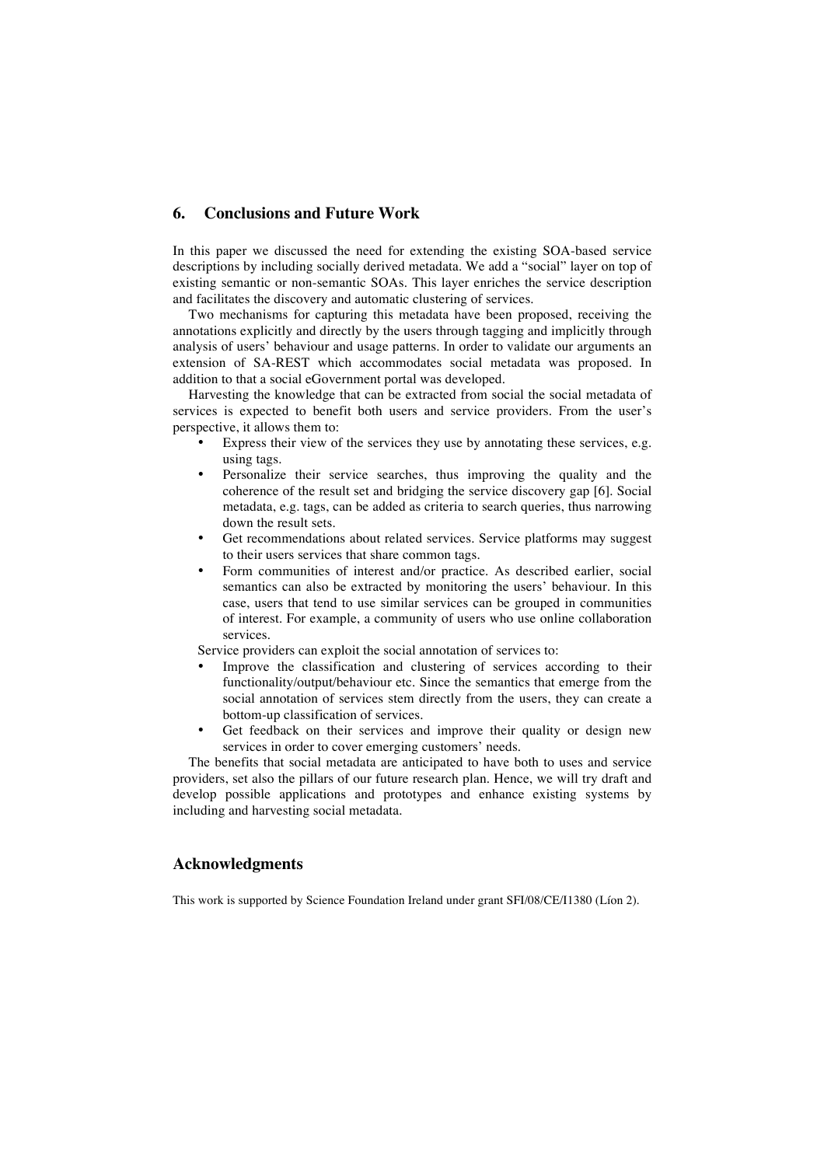### **6. Conclusions and Future Work**

In this paper we discussed the need for extending the existing SOA-based service descriptions by including socially derived metadata. We add a "social" layer on top of existing semantic or non-semantic SOAs. This layer enriches the service description and facilitates the discovery and automatic clustering of services.

Two mechanisms for capturing this metadata have been proposed, receiving the annotations explicitly and directly by the users through tagging and implicitly through analysis of users' behaviour and usage patterns. In order to validate our arguments an extension of SA-REST which accommodates social metadata was proposed. In addition to that a social eGovernment portal was developed.

Harvesting the knowledge that can be extracted from social the social metadata of services is expected to benefit both users and service providers. From the user's perspective, it allows them to:

- Express their view of the services they use by annotating these services, e.g. using tags.
- Personalize their service searches, thus improving the quality and the coherence of the result set and bridging the service discovery gap [6]. Social metadata, e.g. tags, can be added as criteria to search queries, thus narrowing down the result sets.
- Get recommendations about related services. Service platforms may suggest to their users services that share common tags.
- Form communities of interest and/or practice. As described earlier, social semantics can also be extracted by monitoring the users' behaviour. In this case, users that tend to use similar services can be grouped in communities of interest. For example, a community of users who use online collaboration services.

Service providers can exploit the social annotation of services to:

- Improve the classification and clustering of services according to their functionality/output/behaviour etc. Since the semantics that emerge from the social annotation of services stem directly from the users, they can create a bottom-up classification of services.
- Get feedback on their services and improve their quality or design new services in order to cover emerging customers' needs.

The benefits that social metadata are anticipated to have both to uses and service providers, set also the pillars of our future research plan. Hence, we will try draft and develop possible applications and prototypes and enhance existing systems by including and harvesting social metadata.

### **Acknowledgments**

This work is supported by Science Foundation Ireland under grant SFI/08/CE/I1380 (Líon 2).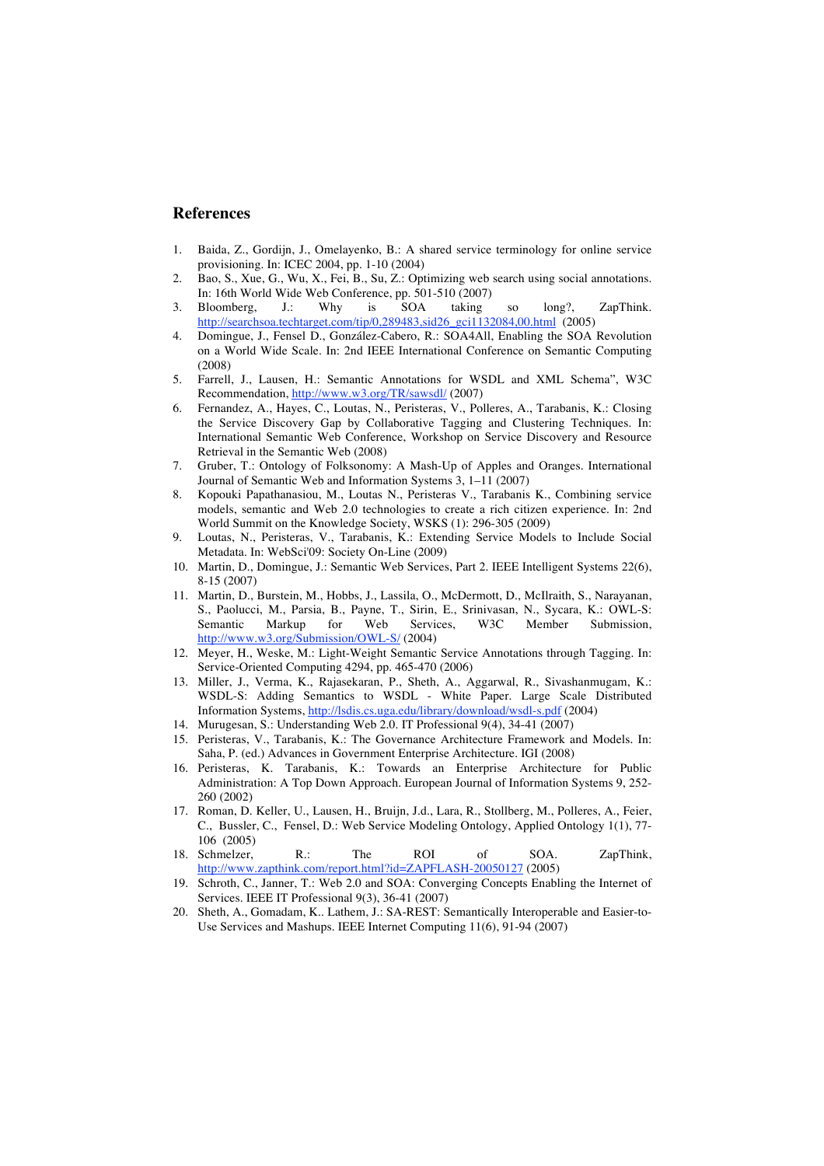### **References**

- 1. Baida, Z., Gordijn, J., Omelayenko, B.: A shared service terminology for online service provisioning. In: ICEC 2004, pp. 1-10 (2004)
- 2. Bao, S., Xue, G., Wu, X., Fei, B., Su, Z.: Optimizing web search using social annotations. In: 16th World Wide Web Conference, pp. 501-510 (2007)<br>Bloomberg, J.: Why is SOA taking
- 3. Bloomberg, J.: Why is SOA taking so long?, ZapThink. http://searchsoa.techtarget.com/tip/0,289483,sid26\_gci1132084,00.html (2005)
- 4. Domingue, J., Fensel D., González-Cabero, R.: SOA4All, Enabling the SOA Revolution on a World Wide Scale. In: 2nd IEEE International Conference on Semantic Computing (2008)
- 5. Farrell, J., Lausen, H.: Semantic Annotations for WSDL and XML Schema", W3C Recommendation, http://www.w3.org/TR/sawsdl/ (2007)
- 6. Fernandez, A., Hayes, C., Loutas, N., Peristeras, V., Polleres, A., Tarabanis, K.: Closing the Service Discovery Gap by Collaborative Tagging and Clustering Techniques. In: International Semantic Web Conference, Workshop on Service Discovery and Resource Retrieval in the Semantic Web (2008)
- 7. Gruber, T.: Ontology of Folksonomy: A Mash-Up of Apples and Oranges. International Journal of Semantic Web and Information Systems 3, 1–11 (2007)
- 8. Kopouki Papathanasiou, M., Loutas N., Peristeras V., Tarabanis K., Combining service models, semantic and Web 2.0 technologies to create a rich citizen experience. In: 2nd World Summit on the Knowledge Society, WSKS (1): 296-305 (2009)
- 9. Loutas, N., Peristeras, V., Tarabanis, K.: Extending Service Models to Include Social Metadata. In: WebSci'09: Society On-Line (2009)
- 10. Martin, D., Domingue, J.: Semantic Web Services, Part 2. IEEE Intelligent Systems 22(6), 8-15 (2007)
- 11. Martin, D., Burstein, M., Hobbs, J., Lassila, O., McDermott, D., McIlraith, S., Narayanan, S., Paolucci, M., Parsia, B., Payne, T., Sirin, E., Srinivasan, N., Sycara, K.: OWL-S: Semantic Markup for Web Services, W3C Member Submission, http://www.w3.org/Submission/OWL-S/ (2004)
- 12. Meyer, H., Weske, M.: Light-Weight Semantic Service Annotations through Tagging. In: Service-Oriented Computing 4294, pp. 465-470 (2006)
- 13. Miller, J., Verma, K., Rajasekaran, P., Sheth, A., Aggarwal, R., Sivashanmugam, K.: WSDL-S: Adding Semantics to WSDL - White Paper. Large Scale Distributed Information Systems, http://lsdis.cs.uga.edu/library/download/wsdl-s.pdf (2004)
- 14. Murugesan, S.: Understanding Web 2.0. IT Professional 9(4), 34-41 (2007)
- 15. Peristeras, V., Tarabanis, K.: The Governance Architecture Framework and Models. In: Saha, P. (ed.) Advances in Government Enterprise Architecture. IGI (2008)
- 16. Peristeras, K. Tarabanis, K.: Towards an Enterprise Architecture for Public Administration: A Top Down Approach. European Journal of Information Systems 9, 252- 260 (2002)
- 17. Roman, D. Keller, U., Lausen, H., Bruijn, J.d., Lara, R., Stollberg, M., Polleres, A., Feier, C., Bussler, C., Fensel, D.: Web Service Modeling Ontology, Applied Ontology 1(1), 77- 106 (2005)
- 18. Schmelzer, R.: The ROI of SOA. ZapThink, http://www.zapthink.com/report.html?id=ZAPFLASH-20050127 (2005)
- 19. Schroth, C., Janner, T.: Web 2.0 and SOA: Converging Concepts Enabling the Internet of Services. IEEE IT Professional 9(3), 36-41 (2007)
- 20. Sheth, A., Gomadam, K.. Lathem, J.: SA-REST: Semantically Interoperable and Easier-to-Use Services and Mashups. IEEE Internet Computing 11(6), 91-94 (2007)